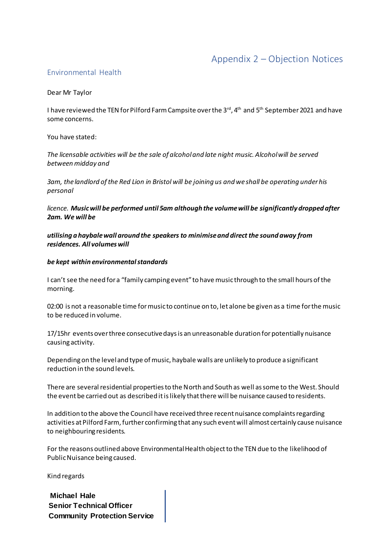# Appendix 2 – Objection Notices

# Environmental Health

## Dear Mr Taylor

I have reviewed the TEN for Pilford Farm Campsite over the 3<sup>rd</sup>, 4<sup>th</sup> and 5<sup>th</sup> September 2021 and have some concerns.

You have stated:

*The licensable activities will be the sale of alcohol and late night music. Alcohol will be served between midday and*

*3am, the landlord of the Red Lion in Bristol will be joining us and we shall be operating under his personal*

*licence. Music will be performed until 5am although the volume will be significantly dropped after 2am. We will be*

*utilising a haybale wall around the speakers to minimise and direct the sound away from residences. All volumes will*

#### *be kept within environmental standards*

I can't see the need for a "family camping event" to have music through to the small hours of the morning.

02:00 is not a reasonable time for music to continue on to, let alone be given as a time for the music to be reduced in volume.

17/15hr events over three consecutive days is an unreasonable duration for potentially nuisance causing activity.

Depending on the level and type of music, haybale walls are unlikely to produce a significant reduction in the sound levels.

There are several residential properties to the North and South as well as some to the West. Should the event be carried out as described it is likely that there will be nuisance caused to residents.

In addition to the above the Council have received three recent nuisance complaints regarding activities at Pilford Farm, further confirming that any such event will almost certainly cause nuisance to neighbouring residents.

For the reasons outlined above Environmental Health object to the TEN due to the likelihood of Public Nuisance being caused.

Kind regards

**Michael Hale Senior Technical Officer Community Protection Service**